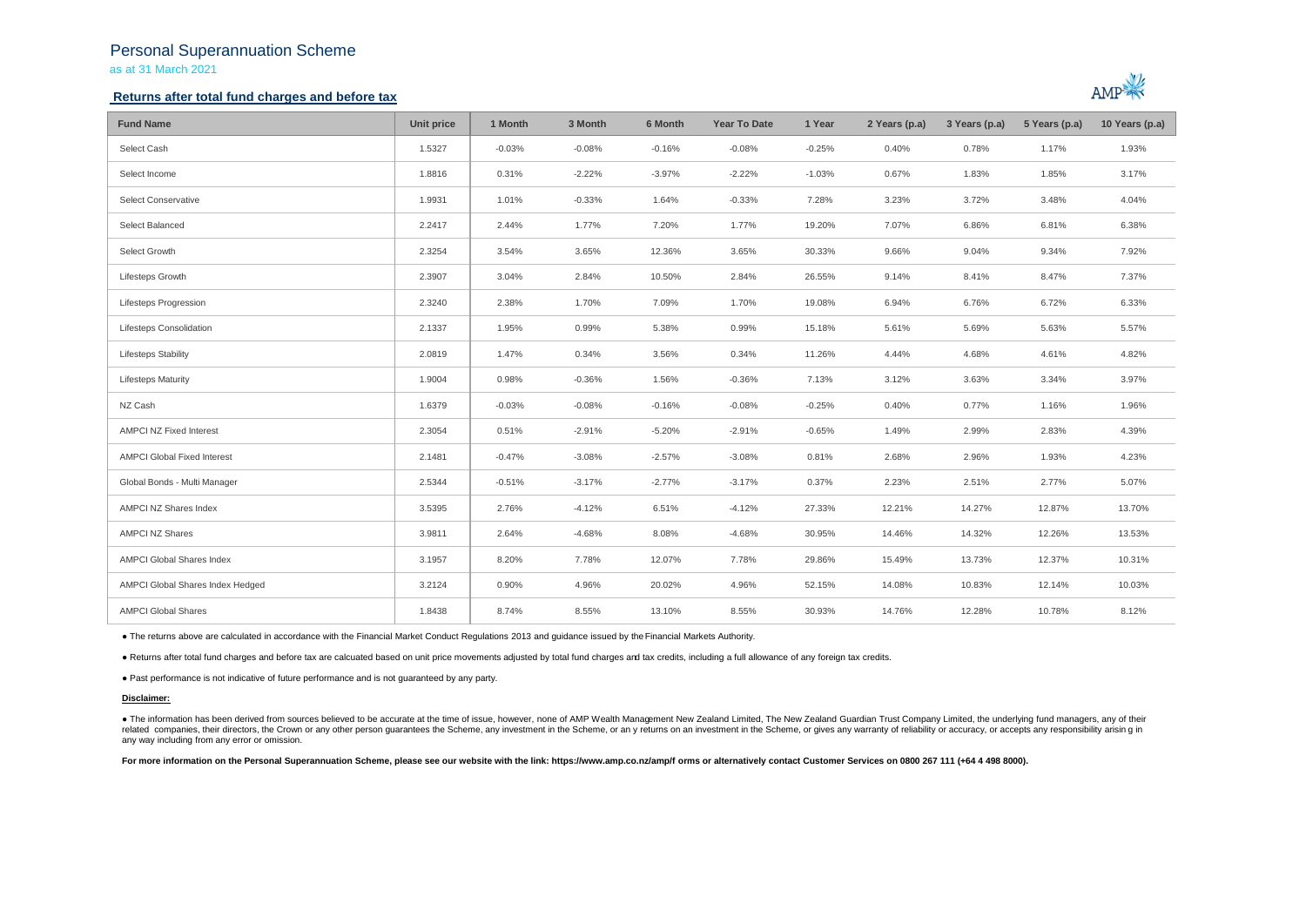# Personal Superannuation Scheme as at 31 March 2021

## **Returns after total fund charges and before tax**



| <b>Fund Name</b>                   | Unit price | 1 Month  | 3 Month  | 6 Month  | <b>Year To Date</b> | 1 Year   | 2 Years (p.a) | 3 Years (p.a) | 5 Years (p.a) | 10 Years (p.a) |
|------------------------------------|------------|----------|----------|----------|---------------------|----------|---------------|---------------|---------------|----------------|
| Select Cash                        | 1.5327     | $-0.03%$ | $-0.08%$ | $-0.16%$ | $-0.08%$            | $-0.25%$ | 0.40%         | 0.78%         | 1.17%         | 1.93%          |
| Select Income                      | 1.8816     | 0.31%    | $-2.22%$ | $-3.97%$ | $-2.22%$            | $-1.03%$ | 0.67%         | 1.83%         | 1.85%         | 3.17%          |
| <b>Select Conservative</b>         | 1.9931     | 1.01%    | $-0.33%$ | 1.64%    | $-0.33%$            | 7.28%    | 3.23%         | 3.72%         | 3.48%         | 4.04%          |
| Select Balanced                    | 2.2417     | 2.44%    | 1.77%    | 7.20%    | 1.77%               | 19.20%   | 7.07%         | 6.86%         | 6.81%         | 6.38%          |
| Select Growth                      | 2.3254     | 3.54%    | 3.65%    | 12.36%   | 3.65%               | 30.33%   | 9.66%         | 9.04%         | 9.34%         | 7.92%          |
| Lifesteps Growth                   | 2.3907     | 3.04%    | 2.84%    | 10.50%   | 2.84%               | 26.55%   | 9.14%         | 8.41%         | 8.47%         | 7.37%          |
| Lifesteps Progression              | 2.3240     | 2.38%    | 1.70%    | 7.09%    | 1.70%               | 19.08%   | 6.94%         | 6.76%         | 6.72%         | 6.33%          |
| Lifesteps Consolidation            | 2.1337     | 1.95%    | 0.99%    | 5.38%    | 0.99%               | 15.18%   | 5.61%         | 5.69%         | 5.63%         | 5.57%          |
| <b>Lifesteps Stability</b>         | 2.0819     | 1.47%    | 0.34%    | 3.56%    | 0.34%               | 11.26%   | 4.44%         | 4.68%         | 4.61%         | 4.82%          |
| <b>Lifesteps Maturity</b>          | 1.9004     | 0.98%    | $-0.36%$ | 1.56%    | $-0.36%$            | 7.13%    | 3.12%         | 3.63%         | 3.34%         | 3.97%          |
| NZ Cash                            | 1.6379     | $-0.03%$ | $-0.08%$ | $-0.16%$ | $-0.08%$            | $-0.25%$ | 0.40%         | 0.77%         | 1.16%         | 1.96%          |
| AMPCI NZ Fixed Interest            | 2.3054     | 0.51%    | $-2.91%$ | $-5.20%$ | $-2.91%$            | $-0.65%$ | 1.49%         | 2.99%         | 2.83%         | 4.39%          |
| <b>AMPCI Global Fixed Interest</b> | 2.1481     | $-0.47%$ | $-3.08%$ | $-2.57%$ | $-3.08%$            | 0.81%    | 2.68%         | 2.96%         | 1.93%         | 4.23%          |
| Global Bonds - Multi Manager       | 2.5344     | $-0.51%$ | $-3.17%$ | $-2.77%$ | $-3.17%$            | 0.37%    | 2.23%         | 2.51%         | 2.77%         | 5.07%          |
| AMPCI NZ Shares Index              | 3.5395     | 2.76%    | $-4.12%$ | 6.51%    | $-4.12%$            | 27.33%   | 12.21%        | 14.27%        | 12.87%        | 13.70%         |
| <b>AMPCI NZ Shares</b>             | 3.9811     | 2.64%    | $-4.68%$ | 8.08%    | $-4.68%$            | 30.95%   | 14.46%        | 14.32%        | 12.26%        | 13.53%         |
| AMPCI Global Shares Index          | 3.1957     | 8.20%    | 7.78%    | 12.07%   | 7.78%               | 29.86%   | 15.49%        | 13.73%        | 12.37%        | 10.31%         |
| AMPCI Global Shares Index Hedged   | 3.2124     | 0.90%    | 4.96%    | 20.02%   | 4.96%               | 52.15%   | 14.08%        | 10.83%        | 12.14%        | 10.03%         |
| <b>AMPCI Global Shares</b>         | 1.8438     | 8.74%    | 8.55%    | 13.10%   | 8.55%               | 30.93%   | 14.76%        | 12.28%        | 10.78%        | 8.12%          |

● The returns above are calculated in accordance with the Financial Market Conduct Regulations 2013 and guidance issued by the Financial Markets Authority.

● Returns after total fund charges and before tax are calcuated based on unit price movements adjusted by total fund charges and tax credits, including a full allowance of any foreign tax credits.

● Past performance is not indicative of future performance and is not guaranteed by any party.

#### **Disclaimer:**

. The information has been derived from sources believed to be accurate at the time of issue, however, none of AMP Wealth Management New Zealand Limited, The New Zealand Guardian Trust Company Limited, the underlying fund related companies, their directors, the Crown or any other person quarantees the Scheme, any investment in the Scheme, or any returns on an investment in the Scheme, or gives any warranty of reliability or accuracy, or acc any way including from any error or omission.

For more information on the Personal Superannuation Scheme, please see our website with the link: https://www.amp.co.nz/amp/f orms or alternatively contact Customer Services on 0800 267 111 (+64 4 498 8000).